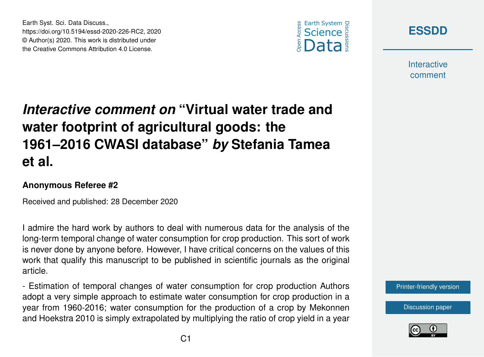



**Interactive** comment

## *Interactive comment on* **"Virtual water trade and water footprint of agricultural goods: the 1961–2016 CWASI database"** *by* **Stefania Tamea et al.**

## **Anonymous Referee #2**

Earth Syst. Sci. Data Discuss.,

https://doi.org/10.5194/essd-2020-226-RC2, 2020 © Author(s) 2020. This work is distributed under the Creative Commons Attribution 4.0 License.

Received and published: 28 December 2020

I admire the hard work by authors to deal with numerous data for the analysis of the long-term temporal change of water consumption for crop production. This sort of work is never done by anyone before. However, I have critical concerns on the values of this work that qualify this manuscript to be published in scientific journals as the original article.

- Estimation of temporal changes of water consumption for crop production Authors adopt a very simple approach to estimate water consumption for crop production in a year from 1960-2016; water consumption for the production of a crop by Mekonnen and Hoekstra 2010 is simply extrapolated by multiplying the ratio of crop yield in a year

[Printer-friendly version](https://essd.copernicus.org/preprints/essd-2020-226/essd-2020-226-RC2-print.pdf)

[Discussion paper](https://essd.copernicus.org/preprints/essd-2020-226)

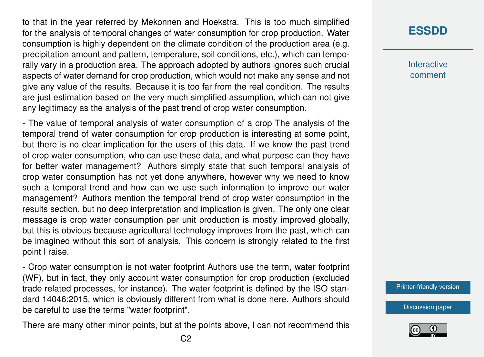to that in the year referred by Mekonnen and Hoekstra. This is too much simplified for the analysis of temporal changes of water consumption for crop production. Water consumption is highly dependent on the climate condition of the production area (e.g. precipitation amount and pattern, temperature, soil conditions, etc.), which can temporally vary in a production area. The approach adopted by authors ignores such crucial aspects of water demand for crop production, which would not make any sense and not give any value of the results. Because it is too far from the real condition. The results are just estimation based on the very much simplified assumption, which can not give any legitimacy as the analysis of the past trend of crop water consumption.

- The value of temporal analysis of water consumption of a crop The analysis of the temporal trend of water consumption for crop production is interesting at some point, but there is no clear implication for the users of this data. If we know the past trend of crop water consumption, who can use these data, and what purpose can they have for better water management? Authors simply state that such temporal analysis of crop water consumption has not yet done anywhere, however why we need to know such a temporal trend and how can we use such information to improve our water management? Authors mention the temporal trend of crop water consumption in the results section, but no deep interpretation and implication is given. The only one clear message is crop water consumption per unit production is mostly improved globally, but this is obvious because agricultural technology improves from the past, which can be imagined without this sort of analysis. This concern is strongly related to the first point I raise.

- Crop water consumption is not water footprint Authors use the term, water footprint (WF), but in fact, they only account water consumption for crop production (excluded trade related processes, for instance). The water footprint is defined by the ISO standard 14046:2015, which is obviously different from what is done here. Authors should be careful to use the terms "water footprint".

There are many other minor points, but at the points above, I can not recommend this

## **[ESSDD](https://essd.copernicus.org/preprints/)**

**Interactive** comment

[Printer-friendly version](https://essd.copernicus.org/preprints/essd-2020-226/essd-2020-226-RC2-print.pdf)

[Discussion paper](https://essd.copernicus.org/preprints/essd-2020-226)